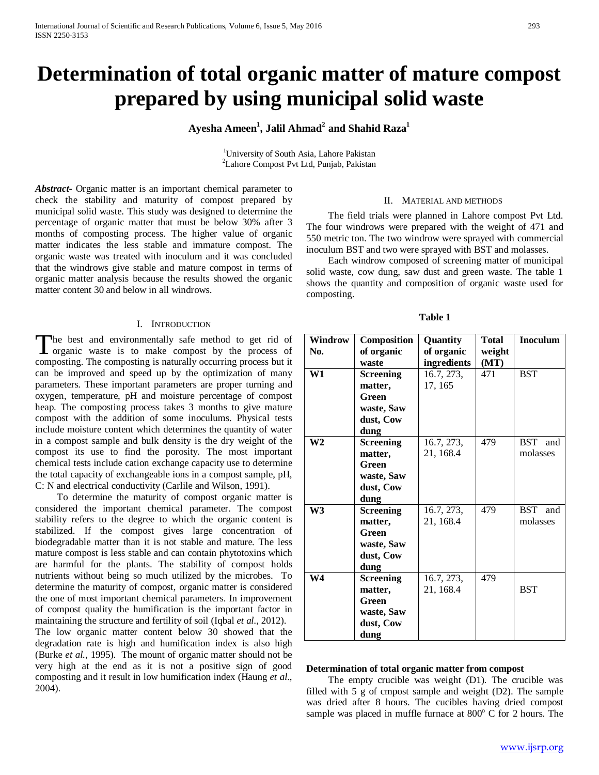# **Determination of total organic matter of mature compost prepared by using municipal solid waste**

# $\mathbf{A}$ yesha Ameen $^1$ , Jalil Ahmad $^2$  and Shahid Raza $^1$

<sup>1</sup>University of South Asia, Lahore Pakistan <sup>2</sup>Lahore Compost Pvt Ltd, Punjab, Pakistan

*Abstract***-** Organic matter is an important chemical parameter to check the stability and maturity of compost prepared by municipal solid waste. This study was designed to determine the percentage of organic matter that must be below 30% after 3 months of composting process. The higher value of organic matter indicates the less stable and immature compost. The organic waste was treated with inoculum and it was concluded that the windrows give stable and mature compost in terms of organic matter analysis because the results showed the organic matter content 30 and below in all windrows.

### I. INTRODUCTION

The best and environmentally safe method to get rid of The best and environmentally safe method to get rid of organic waste is to make compost by the process of composting. The composting is naturally occurring process but it can be improved and speed up by the optimization of many parameters. These important parameters are proper turning and oxygen, temperature, pH and moisture percentage of compost heap. The composting process takes 3 months to give mature compost with the addition of some inoculums. Physical tests include moisture content which determines the quantity of water in a compost sample and bulk density is the dry weight of the compost its use to find the porosity. The most important chemical tests include cation exchange capacity use to determine the total capacity of exchangeable ions in a compost sample, pH, C: N and electrical conductivity (Carlile and Wilson, 1991).

 To determine the maturity of compost organic matter is considered the important chemical parameter. The compost stability refers to the degree to which the organic content is stabilized. If the compost gives large concentration of biodegradable matter than it is not stable and mature. The less mature compost is less stable and can contain phytotoxins which are harmful for the plants. The stability of compost holds nutrients without being so much utilized by the microbes. To determine the maturity of compost, organic matter is considered the one of most important chemical parameters. In improvement of compost quality the humification is the important factor in maintaining the structure and fertility of soil (Iqbal *et al.,* 2012).

The low organic matter content below 30 showed that the degradation rate is high and humification index is also high (Burke *et al.,* 1995). The mount of organic matter should not be very high at the end as it is not a positive sign of good composting and it result in low humification index (Haung *et al*., 2004).

#### II. MATERIAL AND METHODS

 The field trials were planned in Lahore compost Pvt Ltd. The four windrows were prepared with the weight of 471 and 550 metric ton. The two windrow were sprayed with commercial inoculum BST and two were sprayed with BST and molasses.

 Each windrow composed of screening matter of municipal solid waste, cow dung, saw dust and green waste. The table 1 shows the quantity and composition of organic waste used for composting.

| Windrow        | Composition      | Quantity    | <b>Total</b> | <b>Inoculum</b>   |
|----------------|------------------|-------------|--------------|-------------------|
| No.            | of organic       | of organic  | weight       |                   |
|                | waste            | ingredients | (MT)         |                   |
| W1             | <b>Screening</b> | 16.7, 273,  | 471          | <b>BST</b>        |
|                | matter,          | 17, 165     |              |                   |
|                | Green            |             |              |                   |
|                | waste, Saw       |             |              |                   |
|                | dust, Cow        |             |              |                   |
|                | dung             |             |              |                   |
| W <sub>2</sub> | <b>Screening</b> | 16.7, 273,  | 479          | <b>BST</b><br>and |
|                | matter,          | 21, 168.4   |              | molasses          |
|                | Green            |             |              |                   |
|                | waste, Saw       |             |              |                   |
|                | dust, Cow        |             |              |                   |
|                | dung             |             |              |                   |
| W <sub>3</sub> | <b>Screening</b> | 16.7, 273,  | 479          | <b>BST</b><br>and |
|                | matter,          | 21, 168.4   |              | molasses          |
|                | Green            |             |              |                   |
|                | waste, Saw       |             |              |                   |
|                | dust, Cow        |             |              |                   |
|                | dung             |             |              |                   |
| W <sub>4</sub> | <b>Screening</b> | 16.7, 273,  | 479          |                   |
|                | matter,          | 21, 168.4   |              | <b>BST</b>        |
|                | Green            |             |              |                   |
|                | waste, Saw       |             |              |                   |
|                | dust, Cow        |             |              |                   |
|                | dung             |             |              |                   |

**Table 1**

#### **Determination of total organic matter from compost**

 The empty crucible was weight (D1). The crucible was filled with 5 g of cmpost sample and weight (D2). The sample was dried after 8 hours. The cucibles having dried compost sample was placed in muffle furnace at  $800^{\circ}$  C for 2 hours. The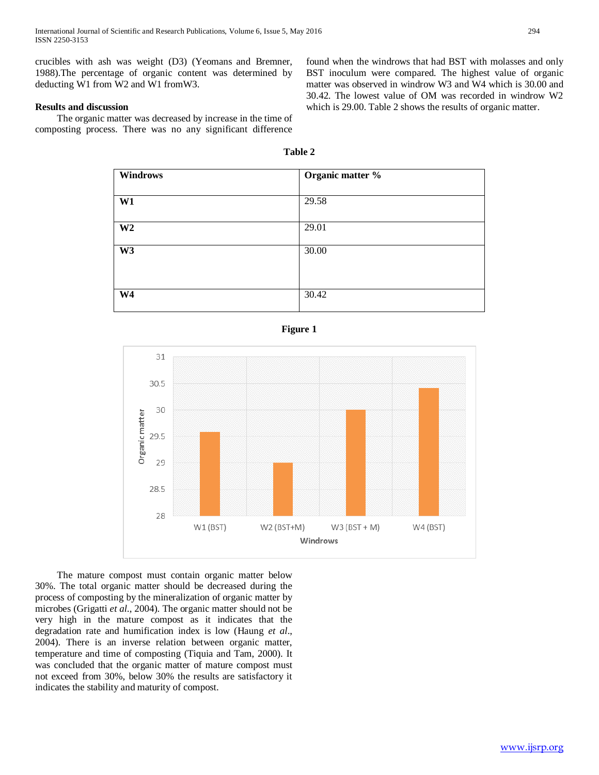crucibles with ash was weight (D3) (Yeomans and Bremner, 1988).The percentage of organic content was determined by deducting W1 from W2 and W1 fromW3.

## **Results and discussion**

 The organic matter was decreased by increase in the time of composting process. There was no any significant difference

**W4** 30.42

found when the windrows that had BST with molasses and only BST inoculum were compared. The highest value of organic matter was observed in windrow W3 and W4 which is 30.00 and 30.42. The lowest value of OM was recorded in windrow W2 which is 29.00. Table 2 shows the results of organic matter.

| Table 2                |                  |  |  |
|------------------------|------------------|--|--|
| <b>Windrows</b>        | Organic matter % |  |  |
| $\overline{\text{W1}}$ | 29.58            |  |  |
| $\overline{\text{W2}}$ | 29.01            |  |  |
| $\overline{\text{W3}}$ | 30.00            |  |  |



 The mature compost must contain organic matter below 30%. The total organic matter should be decreased during the process of composting by the mineralization of organic matter by microbes (Grigatti *et al*., 2004). The organic matter should not be very high in the mature compost as it indicates that the degradation rate and humification index is low (Haung *et al*., 2004). There is an inverse relation between organic matter, temperature and time of composting (Tiquia and Tam, 2000). It was concluded that the organic matter of mature compost must not exceed from 30%, below 30% the results are satisfactory it indicates the stability and maturity of compost.